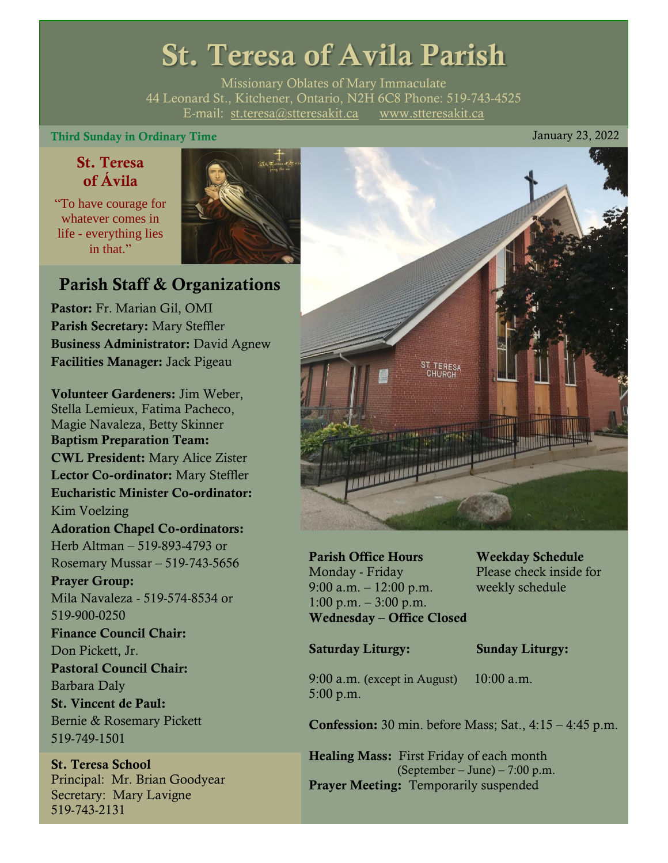# St. Teresa of Avila Parish

Missionary Oblates of Mary Immaculate 44 Leonard St., Kitchener, Ontario, N2H 6C8 Phone: 519-743-4525 E-mail: [st.teresa@stteresakit.ca](mailto:st.teresa@stteresakit.ca) [www.stteresakit.ca](http://www.stteresakit.ca/)

### Third Sunday in Ordinary Time January 23, 2022

# St. Teresa of Ávila

"To have courage for whatever comes in life - everything lies in that"



# Parish Staff & Organizations

Pastor: Fr. Marian Gil, OMI Parish Secretary: Mary Steffler Business Administrator: David Agnew Facilities Manager: Jack Pigeau

Volunteer Gardeners: Jim Weber, Stella Lemieux, Fatima Pacheco, Magie Navaleza, Betty Skinner Baptism Preparation Team: CWL President: Mary Alice Zister Lector Co-ordinator: Mary Steffler Eucharistic Minister Co-ordinator: Kim Voelzing Adoration Chapel Co-ordinators: Herb Altman – 519-893-4793 or Rosemary Mussar – 519-743-5656 Prayer Group: Mila Navaleza - 519-574-8534 or 519-900-0250 Finance Council Chair: Don Pickett, Jr. Pastoral Council Chair: Barbara Daly St. Vincent de Paul: Bernie & Rosemary Pickett 519-749-1501

St. Teresa School Principal: Mr. Brian Goodyear Secretary: Mary Lavigne 519-743-2131



Parish Office Hours Weekday Schedule Monday - Friday Please check inside for 9:00 a.m. – 12:00 p.m. weekly schedule  $1:00 \text{ p.m.} - 3:00 \text{ p.m.}$ Wednesday – Office Closed

#### Saturday Liturgy: Sunday Liturgy:

9:00 a.m. (except in August) 10:00 a.m. 5:00 p.m.

Confession: 30 min. before Mass; Sat., 4:15 – 4:45 p.m.

Healing Mass: First Friday of each month (September – June) – 7:00 p.m. Prayer Meeting: Temporarily suspended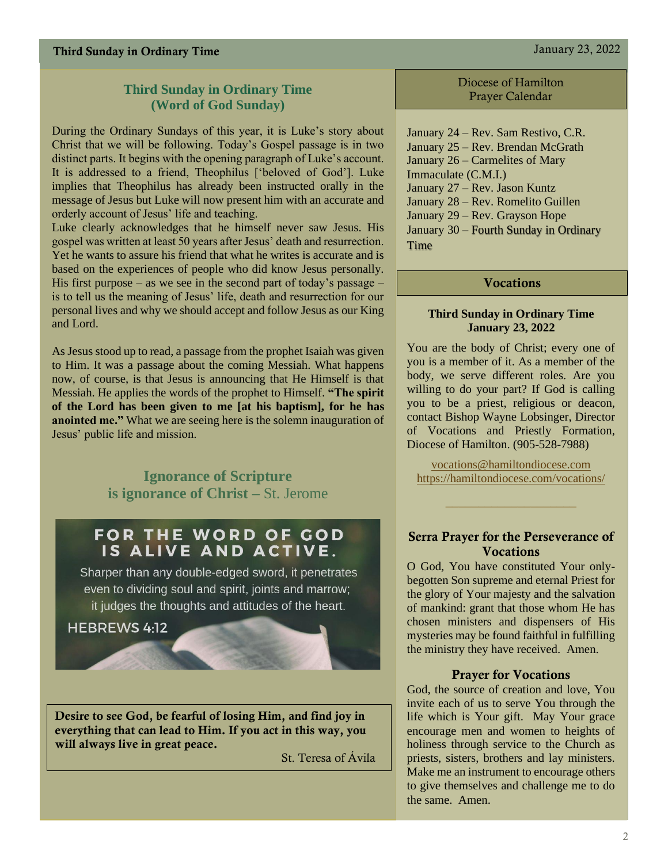## **Third Sunday in Ordinary Time (Word of God Sunday)**

During the Ordinary Sundays of this year, it is Luke's story about Christ that we will be following. Today's Gospel passage is in two distinct parts. It begins with the opening paragraph of Luke's account. It is addressed to a friend, Theophilus ['beloved of God']. Luke implies that Theophilus has already been instructed orally in the message of Jesus but Luke will now present him with an accurate and orderly account of Jesus' life and teaching.

Luke clearly acknowledges that he himself never saw Jesus. His gospel was written at least 50 years after Jesus' death and resurrection. Yet he wants to assure his friend that what he writes is accurate and is based on the experiences of people who did know Jesus personally. His first purpose – as we see in the second part of today's passage – is to tell us the meaning of Jesus' life, death and resurrection for our personal lives and why we should accept and follow Jesus as our King and Lord.

As Jesus stood up to read, a passage from the prophet Isaiah was given to Him. It was a passage about the coming Messiah. What happens now, of course, is that Jesus is announcing that He Himself is that Messiah. He applies the words of the prophet to Himself. **"The spirit of the Lord has been given to me [at his baptism], for he has anointed me."** What we are seeing here is the solemn inauguration of Jesus' public life and mission.

> **Ignorance of Scripture is ignorance of Christ –** St. Jerome

# FOR THE WORD OF GOD IS ALIVE AND ACTIVE.

Sharper than any double-edged sword, it penetrates even to dividing soul and spirit, joints and marrow; it judges the thoughts and attitudes of the heart.

#### **HEBREWS 4:12**

Desire to see God, be fearful of losing Him, and find joy in everything that can lead to Him. If you act in this way, you will always live in great peace.

St. Teresa of Ávila

Diocese of Hamilton Prayer Calendar

January 24 – Rev. Sam Restivo, C.R. January 25 – Rev. Brendan McGrath January 26 – Carmelites of Mary Immaculate (C.M.I.) January 27 – Rev. Jason Kuntz January 28 – Rev. Romelito Guillen January 29 – Rev. Grayson Hope January 30 – Fourth Sunday in Ordinary **Time** 

#### Vocations

#### **Third Sunday in Ordinary Time January 23, 2022**

You are the body of Christ; every one of you is a member of it. As a member of the body, we serve different roles. Are you willing to do your part? If God is calling you to be a priest, religious or deacon, contact Bishop Wayne Lobsinger, Director of Vocations and Priestly Formation, Diocese of Hamilton. (905-528-7988)

[vocations@hamiltondiocese.com](mailto:vocations@hamiltondiocese.com)  <https://hamiltondiocese.com/vocations/>

#### Serra Prayer for the Perseverance of **Vocations**

O God, You have constituted Your onlybegotten Son supreme and eternal Priest for the glory of Your majesty and the salvation of mankind: grant that those whom He has chosen ministers and dispensers of His mysteries may be found faithful in fulfilling the ministry they have received. Amen.

#### Prayer for Vocations

God, the source of creation and love, You invite each of us to serve You through the life which is Your gift. May Your grace encourage men and women to heights of holiness through service to the Church as priests, sisters, brothers and lay ministers. Make me an instrument to encourage others to give themselves and challenge me to do the same. Amen.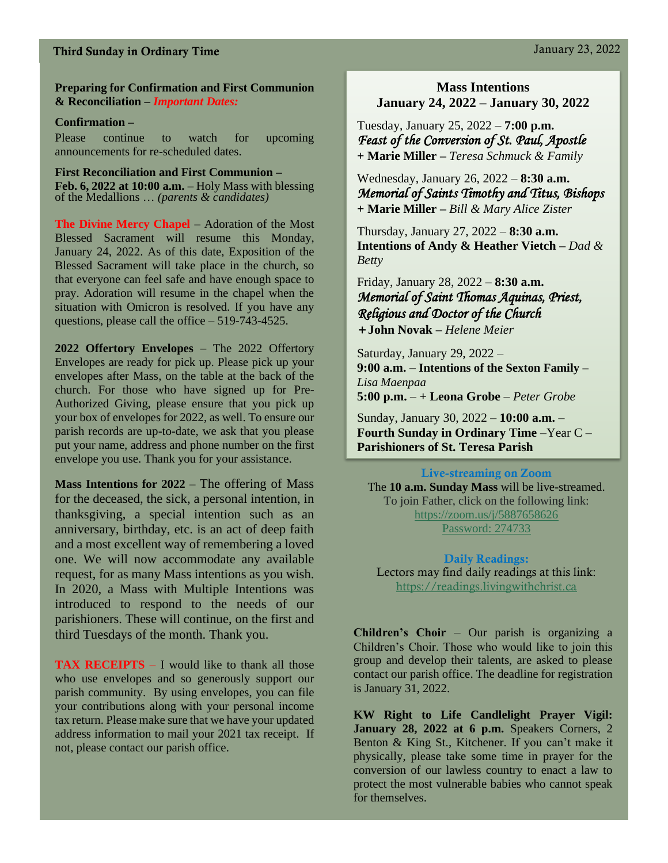# Third Sunday in Ordinary Time January 23, 2022

#### **Preparing for Confirmation and First Communion & Reconciliation –** *Important Dates:*

#### **Confirmation –**

Please continue to watch for upcoming announcements for re-scheduled dates.

**First Reconciliation and First Communion – Feb. 6, 2022 at 10:00 a.m.** – Holy Mass with blessing of the Medallions … *(parents & candidates)*

**The Divine Mercy Chapel** – Adoration of the Most Blessed Sacrament will resume this Monday, January 24, 2022. As of this date, Exposition of the Blessed Sacrament will take place in the church, so that everyone can feel safe and have enough space to pray. Adoration will resume in the chapel when the situation with Omicron is resolved. If you have any questions, please call the office – 519-743-4525.

**2022 Offertory Envelopes** – The 2022 Offertory Envelopes are ready for pick up. Please pick up your envelopes after Mass, on the table at the back of the church. For those who have signed up for Pre-Authorized Giving, please ensure that you pick up your box of envelopes for 2022, as well. To ensure our parish records are up-to-date, we ask that you please put your name, address and phone number on the first envelope you use. Thank you for your assistance.

**Mass Intentions for 2022** – The offering of Mass for the deceased, the sick, a personal intention, in thanksgiving, a special intention such as an anniversary, birthday, etc. is an act of deep faith and a most excellent way of remembering a loved one. We will now accommodate any available request, for as many Mass intentions as you wish. In 2020, a Mass with Multiple Intentions was introduced to respond to the needs of our parishioners. These will continue, on the first and third Tuesdays of the month. Thank you.

**TAX RECEIPTS** – I would like to thank all those who use envelopes and so generously support our parish community. By using envelopes, you can file your contributions along with your personal income tax return. Please make sure that we have your updated address information to mail your 2021 tax receipt. If not, please contact our parish office.

### **Mass Intentions January 24, 2022 – January 30, 2022**

Tuesday, January 25, 2022 – **7:00 p.m.**  *Feast of the Conversion of St. Paul, Apostle* **+ Marie Miller –** *Teresa Schmuck & Family*

Wednesday, January 26, 2022 – **8:30 a.m.** *Memorial of Saints Timothy and Titus, Bishops*  **+ Marie Miller –** *Bill & Mary Alice Zister*

Thursday, January 27, 2022 – **8:30 a.m. Intentions of Andy & Heather Vietch –** *Dad & Betty*

Friday, January 28, 2022 – **8:30 a.m.** *Memorial of Saint Thomas Aquinas, Priest, Religious and Doctor of the Church +* **John Novak –** *Helene Meier*

Saturday, January 29, 2022 – **9:00 a.m.** – **Intentions of the Sexton Family –** *Lisa Maenpaa*  **5:00 p.m.** – **+ Leona Grobe** – *Peter Grobe*

Sunday, January 30, 2022 – **10:00 a.m.** – **Fourth Sunday in Ordinary Time** –Year C – **Parishioners of St. Teresa Parish** 

Live-streaming on Zoom

The **10 a.m. Sunday Mass** will be live-streamed. To join Father, click on the following link: <https://zoom.us/j/5887658626> Password: 274733

Daily Readings: Lectors may find daily readings at this link: [https://readings.livingwithchrist.ca](https://readings.livingwithchrist.ca/)

**Children's Choir** – Our parish is organizing a Children's Choir. Those who would like to join this group and develop their talents, are asked to please contact our parish office. The deadline for registration is January 31, 2022.

**KW Right to Life Candlelight Prayer Vigil: January 28, 2022 at 6 p.m.** Speakers Corners, 2 Benton & King St., Kitchener. If you can't make it physically, please take some time in prayer for the conversion of our lawless country to enact a law to protect the most vulnerable babies who cannot speak for themselves.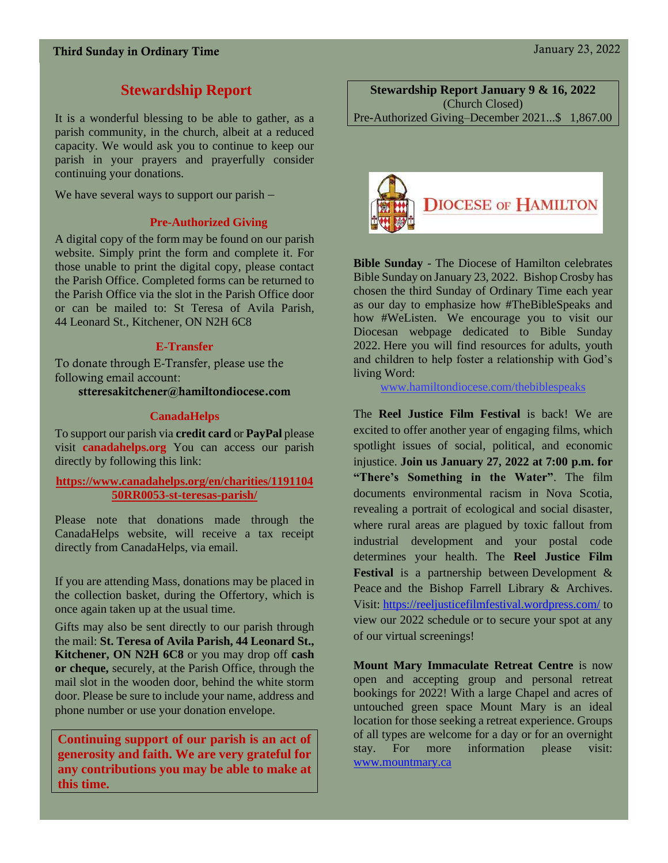# **Stewardship Report**

It is a wonderful blessing to be able to gather, as a parish community, in the church, albeit at a reduced capacity. We would ask you to continue to keep our parish in your prayers and prayerfully consider continuing your donations.

We have several ways to support our parish –

#### **Pre-Authorized Giving**

A digital copy of the form may be found on our parish website. Simply print the form and complete it. For those unable to print the digital copy, please contact the Parish Office. Completed forms can be returned to the Parish Office via the slot in the Parish Office door or can be mailed to: St Teresa of Avila Parish, 44 Leonard St., Kitchener, ON N2H 6C8

#### **E-Transfer**

To donate through E-Transfer, please use the following email account:

stteresakitchener@hamiltondiocese.com

#### **CanadaHelps**

To support our parish via **credit card** or **PayPal** please visit **canadahelps.org** You can access our parish directly by following this link:

#### **[https://www.canadahelps.org/en/charities/1191104](https://www.canadahelps.org/en/charities/119110450RR0053-st-teresas-parish/) [50RR0053-st-teresas-parish/](https://www.canadahelps.org/en/charities/119110450RR0053-st-teresas-parish/)**

Please note that donations made through the CanadaHelps website, will receive a tax receipt directly from CanadaHelps, via email.

If you are attending Mass, donations may be placed in the collection basket, during the Offertory, which is once again taken up at the usual time.

Gifts may also be sent directly to our parish through the mail: **St. Teresa of Avila Parish, 44 Leonard St., Kitchener, ON N2H 6C8** or you may drop off **cash or cheque,** securely, at the Parish Office, through the mail slot in the wooden door, behind the white storm door. Please be sure to include your name, address and phone number or use your donation envelope.

**Continuing support of our parish is an act of generosity and faith. We are very grateful for any contributions you may be able to make at this time.**

**Stewardship Report January 9 & 16, 2022** (Church Closed) Pre-Authorized Giving–December 2021...\$ 1,867.00



**Bible Sunday** - The Diocese of Hamilton celebrates Bible Sunday on January 23, 2022. Bishop Crosby has chosen the third Sunday of Ordinary Time each year as our day to emphasize how #TheBibleSpeaks and how #WeListen. We encourage you to visit our Diocesan webpage dedicated to Bible Sunday 2022. Here you will find resources for adults, youth and children to help foster a relationship with God's living Word:

[www.hamiltondiocese.com/thebiblespeaks](http://www.hamiltondiocese.com/thebiblespeaks)

The **Reel Justice Film Festival** is back! We are excited to offer another year of engaging films, which spotlight issues of social, political, and economic injustice. **Join us January 27, 2022 at 7:00 p.m. for "There's Something in the Water"**. The film documents environmental racism in Nova Scotia, revealing a portrait of ecological and social disaster, where rural areas are plagued by toxic fallout from industrial development and your postal code determines your health. The **Reel Justice Film Festival** is a partnership between Development & Peace and the Bishop Farrell Library & Archives. Visit: <https://reeljusticefilmfestival.wordpress.com/> to view our 2022 schedule or to secure your spot at any of our virtual screenings!

**Mount Mary Immaculate Retreat Centre** is now open and accepting group and personal retreat bookings for 2022! With a large Chapel and acres of untouched green space Mount Mary is an ideal location for those seeking a retreat experience. Groups of all types are welcome for a day or for an overnight stay. For more information please visit: [www.mountmary.ca](http://www.mountmary.ca/)